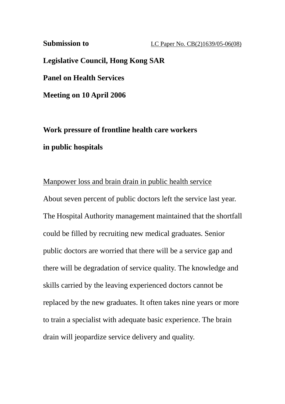**Submission to LC Paper No. CB(2)1639/05-06(08)** 

**Legislative Council, Hong Kong SAR** 

**Panel on Health Services** 

**Meeting on 10 April 2006** 

**Work pressure of frontline health care workers in public hospitals** 

## Manpower loss and brain drain in public health service

About seven percent of public doctors left the service last year. The Hospital Authority management maintained that the shortfall could be filled by recruiting new medical graduates. Senior public doctors are worried that there will be a service gap and there will be degradation of service quality. The knowledge and skills carried by the leaving experienced doctors cannot be replaced by the new graduates. It often takes nine years or more to train a specialist with adequate basic experience. The brain drain will jeopardize service delivery and quality.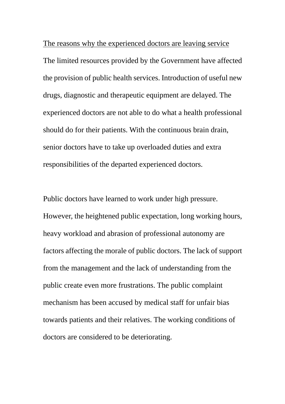The reasons why the experienced doctors are leaving service The limited resources provided by the Government have affected the provision of public health services. Introduction of useful new drugs, diagnostic and therapeutic equipment are delayed. The experienced doctors are not able to do what a health professional should do for their patients. With the continuous brain drain, senior doctors have to take up overloaded duties and extra responsibilities of the departed experienced doctors.

Public doctors have learned to work under high pressure. However, the heightened public expectation, long working hours, heavy workload and abrasion of professional autonomy are factors affecting the morale of public doctors. The lack of support from the management and the lack of understanding from the public create even more frustrations. The public complaint mechanism has been accused by medical staff for unfair bias towards patients and their relatives. The working conditions of doctors are considered to be deteriorating.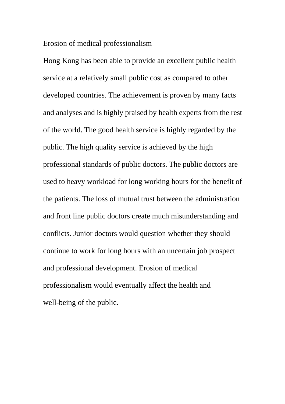## Erosion of medical professionalism

Hong Kong has been able to provide an excellent public health service at a relatively small public cost as compared to other developed countries. The achievement is proven by many facts and analyses and is highly praised by health experts from the rest of the world. The good health service is highly regarded by the public. The high quality service is achieved by the high professional standards of public doctors. The public doctors are used to heavy workload for long working hours for the benefit of the patients. The loss of mutual trust between the administration and front line public doctors create much misunderstanding and conflicts. Junior doctors would question whether they should continue to work for long hours with an uncertain job prospect and professional development. Erosion of medical professionalism would eventually affect the health and well-being of the public.